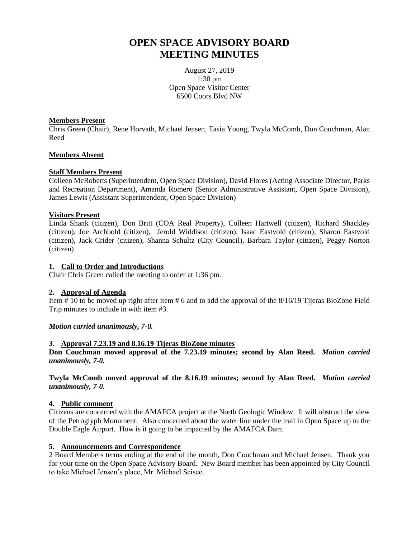# **OPEN SPACE ADVISORY BOARD MEETING MINUTES**

August 27, 2019 1:30 pm Open Space Visitor Center 6500 Coors Blvd NW

## **Members Present**

Chris Green (Chair), Rene Horvath, Michael Jensen, Tasia Young, Twyla McComb, Don Couchman, Alan Reed

# **Members Absent**

# **Staff Members Present**

Colleen McRoberts (Superintendent, Open Space Division), David Flores (Acting Associate Director, Parks and Recreation Department), Amanda Romero (Senior Administrative Assistant, Open Space Division), James Lewis (Assistant Superintendent, Open Space Division)

# **Visitors Present**

Linda Shank (citizen), Don Britt (COA Real Property), Colleen Hartwell (citizen), Richard Shackley (citizen), Joe Archbold (citizen), Jerold Widdison (citizen), Isaac Eastvold (citizen), Sharon Eastvold (citizen), Jack Crider (citizen), Shanna Schultz (City Council), Barbara Taylor (citizen), Peggy Norton (citizen)

## **1. Call to Order and Introductions**

Chair Chris Green called the meeting to order at 1:36 pm.

# **2. Approval of Agenda**

Item # 10 to be moved up right after item # 6 and to add the approval of the 8/16/19 Tijeras BioZone Field Trip minutes to include in with item #3.

# *Motion carried unanimously, 7-0.*

#### *3.* **Approval 7.23.19 and 8.16.19 Tijeras BioZone minutes**

**Don Couchman moved approval of the 7.23.19 minutes; second by Alan Reed.** *Motion carried unanimously, 7-0.*

**Twyla McComb moved approval of the 8.16.19 minutes; second by Alan Reed.** *Motion carried unanimously, 7-0.*

#### **4. Public comment**

Citizens are concerned with the AMAFCA project at the North Geologic Window. It will obstruct the view of the Petroglyph Monument. Also concerned about the water line under the trail in Open Space up to the Double Eagle Airport. How is it going to be impacted by the AMAFCA Dam.

#### **5. Announcements and Correspondence**

2 Board Members terms ending at the end of the month, Don Couchman and Michael Jensen. Thank you for your time on the Open Space Advisory Board. New Board member has been appointed by City Council to take Michael Jensen's place, Mr. Michael Scisco.